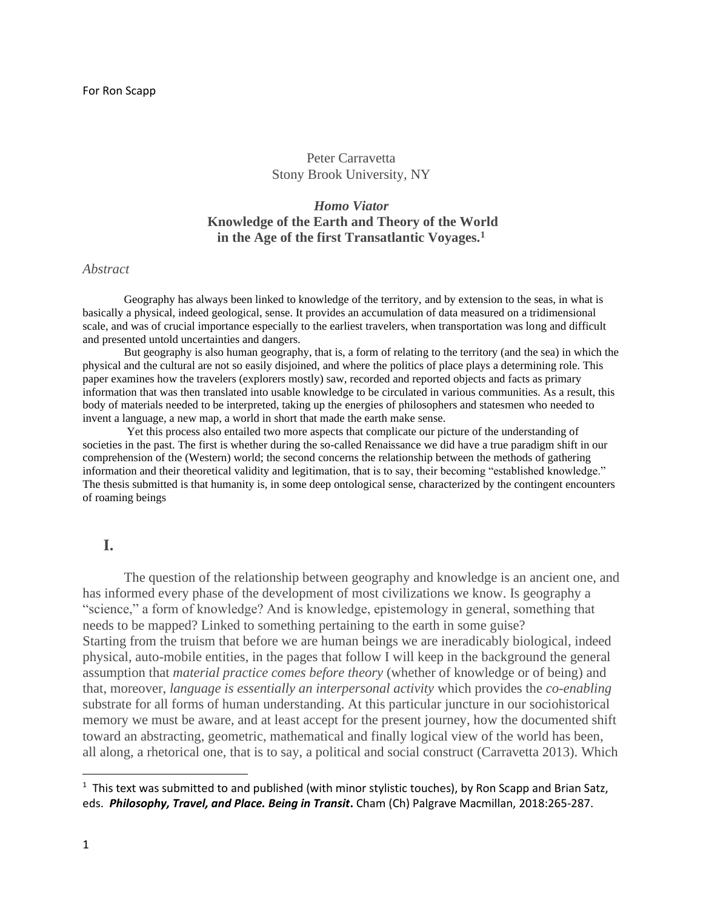### Peter Carravetta Stony Brook University, NY

#### *Homo Viator* **Knowledge of the Earth and Theory of the World in the Age of the first Transatlantic Voyages.<sup>1</sup>**

#### *Abstract*

Geography has always been linked to knowledge of the territory, and by extension to the seas, in what is basically a physical, indeed geological, sense. It provides an accumulation of data measured on a tridimensional scale, and was of crucial importance especially to the earliest travelers, when transportation was long and difficult and presented untold uncertainties and dangers.

But geography is also human geography, that is, a form of relating to the territory (and the sea) in which the physical and the cultural are not so easily disjoined, and where the politics of place plays a determining role. This paper examines how the travelers (explorers mostly) saw, recorded and reported objects and facts as primary information that was then translated into usable knowledge to be circulated in various communities. As a result, this body of materials needed to be interpreted, taking up the energies of philosophers and statesmen who needed to invent a language, a new map, a world in short that made the earth make sense.

Yet this process also entailed two more aspects that complicate our picture of the understanding of societies in the past. The first is whether during the so-called Renaissance we did have a true paradigm shift in our comprehension of the (Western) world; the second concerns the relationship between the methods of gathering information and their theoretical validity and legitimation, that is to say, their becoming "established knowledge." The thesis submitted is that humanity is, in some deep ontological sense, characterized by the contingent encounters of roaming beings

## **I.**

The question of the relationship between geography and knowledge is an ancient one, and has informed every phase of the development of most civilizations we know. Is geography a "science," a form of knowledge? And is knowledge, epistemology in general, something that needs to be mapped? Linked to something pertaining to the earth in some guise? Starting from the truism that before we are human beings we are ineradicably biological, indeed physical, auto-mobile entities, in the pages that follow I will keep in the background the general assumption that *material practice comes before theory* (whether of knowledge or of being) and that, moreover, *language is essentially an interpersonal activity* which provides the *co-enabling* substrate for all forms of human understanding. At this particular juncture in our sociohistorical memory we must be aware, and at least accept for the present journey, how the documented shift toward an abstracting, geometric, mathematical and finally logical view of the world has been, all along, a rhetorical one, that is to say, a political and social construct (Carravetta 2013). Which

 $1$  This text was submitted to and published (with minor stylistic touches), by Ron Scapp and Brian Satz, eds. *Philosophy, Travel, and Place. Being in Transit***.** Cham (Ch) Palgrave Macmillan, 2018:265-287.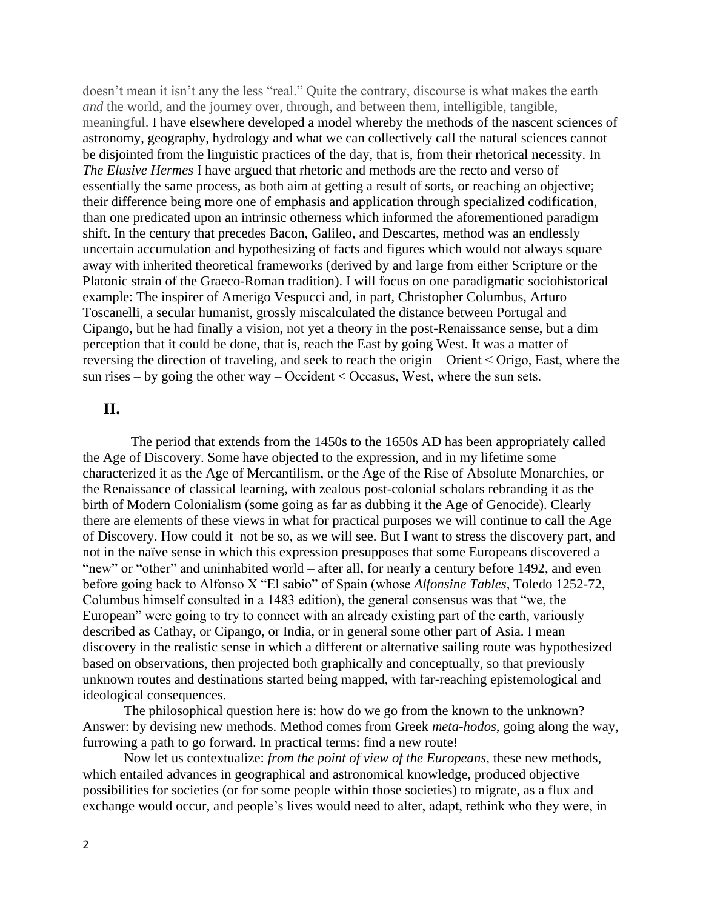doesn't mean it isn't any the less "real." Quite the contrary, discourse is what makes the earth *and* the world, and the journey over, through, and between them, intelligible, tangible, meaningful. I have elsewhere developed a model whereby the methods of the nascent sciences of astronomy, geography, hydrology and what we can collectively call the natural sciences cannot be disjointed from the linguistic practices of the day, that is, from their rhetorical necessity. In *The Elusive Hermes* I have argued that rhetoric and methods are the recto and verso of essentially the same process, as both aim at getting a result of sorts, or reaching an objective; their difference being more one of emphasis and application through specialized codification, than one predicated upon an intrinsic otherness which informed the aforementioned paradigm shift. In the century that precedes Bacon, Galileo, and Descartes, method was an endlessly uncertain accumulation and hypothesizing of facts and figures which would not always square away with inherited theoretical frameworks (derived by and large from either Scripture or the Platonic strain of the Graeco-Roman tradition). I will focus on one paradigmatic sociohistorical example: The inspirer of Amerigo Vespucci and, in part, Christopher Columbus, Arturo Toscanelli, a secular humanist, grossly miscalculated the distance between Portugal and Cipango, but he had finally a vision, not yet a theory in the post-Renaissance sense, but a dim perception that it could be done, that is, reach the East by going West. It was a matter of reversing the direction of traveling, and seek to reach the origin – Orient ˂ Origo, East, where the sun rises – by going the other way – Occident  $\leq$  Occasus, West, where the sun sets.

### **II.**

 The period that extends from the 1450s to the 1650s AD has been appropriately called the Age of Discovery. Some have objected to the expression, and in my lifetime some characterized it as the Age of Mercantilism, or the Age of the Rise of Absolute Monarchies, or the Renaissance of classical learning, with zealous post-colonial scholars rebranding it as the birth of Modern Colonialism (some going as far as dubbing it the Age of Genocide). Clearly there are elements of these views in what for practical purposes we will continue to call the Age of Discovery. How could it not be so, as we will see. But I want to stress the discovery part, and not in the naïve sense in which this expression presupposes that some Europeans discovered a "new" or "other" and uninhabited world – after all, for nearly a century before 1492, and even before going back to Alfonso X "El sabio" of Spain (whose *Alfonsine Tables*, Toledo 1252-72, Columbus himself consulted in a 1483 edition), the general consensus was that "we, the European" were going to try to connect with an already existing part of the earth, variously described as Cathay, or Cipango, or India, or in general some other part of Asia. I mean discovery in the realistic sense in which a different or alternative sailing route was hypothesized based on observations, then projected both graphically and conceptually, so that previously unknown routes and destinations started being mapped, with far-reaching epistemological and ideological consequences.

The philosophical question here is: how do we go from the known to the unknown? Answer: by devising new methods. Method comes from Greek *meta-hodos*, going along the way, furrowing a path to go forward. In practical terms: find a new route!

Now let us contextualize: *from the point of view of the Europeans*, these new methods, which entailed advances in geographical and astronomical knowledge, produced objective possibilities for societies (or for some people within those societies) to migrate, as a flux and exchange would occur, and people's lives would need to alter, adapt, rethink who they were, in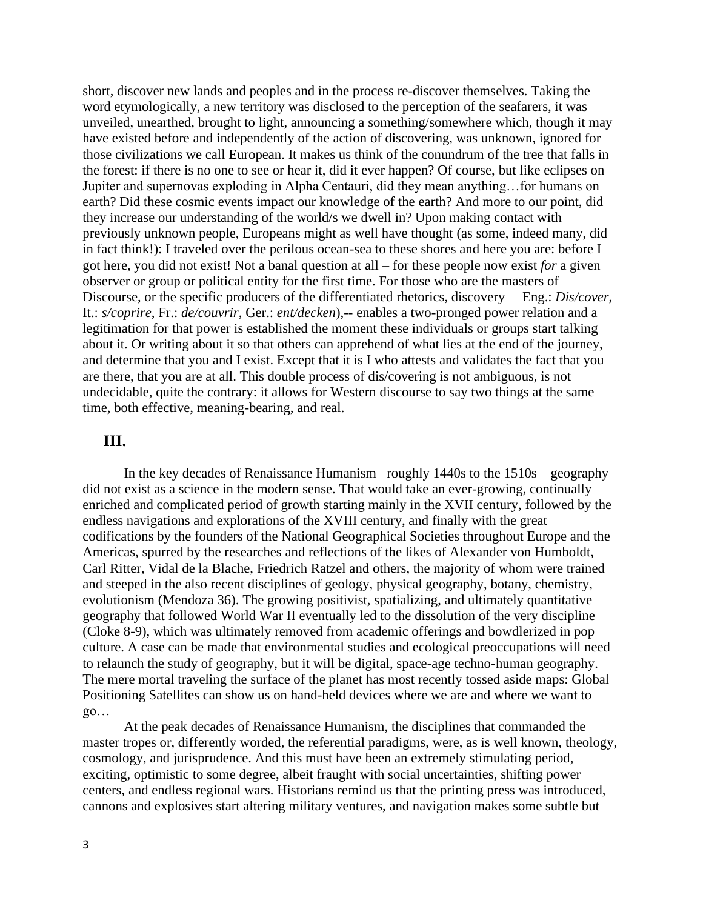short, discover new lands and peoples and in the process re-discover themselves. Taking the word etymologically, a new territory was disclosed to the perception of the seafarers, it was unveiled, unearthed, brought to light, announcing a something/somewhere which, though it may have existed before and independently of the action of discovering, was unknown, ignored for those civilizations we call European. It makes us think of the conundrum of the tree that falls in the forest: if there is no one to see or hear it, did it ever happen? Of course, but like eclipses on Jupiter and supernovas exploding in Alpha Centauri, did they mean anything…for humans on earth? Did these cosmic events impact our knowledge of the earth? And more to our point, did they increase our understanding of the world/s we dwell in? Upon making contact with previously unknown people, Europeans might as well have thought (as some, indeed many, did in fact think!): I traveled over the perilous ocean-sea to these shores and here you are: before I got here, you did not exist! Not a banal question at all – for these people now exist *for* a given observer or group or political entity for the first time. For those who are the masters of Discourse, or the specific producers of the differentiated rhetorics, discovery – Eng.: *Dis/cover*, It.: *s/coprire*, Fr.: *de/couvrir*, Ger.: *ent/decken*),-- enables a two-pronged power relation and a legitimation for that power is established the moment these individuals or groups start talking about it. Or writing about it so that others can apprehend of what lies at the end of the journey, and determine that you and I exist. Except that it is I who attests and validates the fact that you are there, that you are at all. This double process of dis/covering is not ambiguous, is not undecidable, quite the contrary: it allows for Western discourse to say two things at the same time, both effective, meaning-bearing, and real.

### **III.**

In the key decades of Renaissance Humanism –roughly 1440s to the 1510s – geography did not exist as a science in the modern sense. That would take an ever-growing, continually enriched and complicated period of growth starting mainly in the XVII century, followed by the endless navigations and explorations of the XVIII century, and finally with the great codifications by the founders of the National Geographical Societies throughout Europe and the Americas, spurred by the researches and reflections of the likes of Alexander von Humboldt, Carl Ritter, Vidal de la Blache, Friedrich Ratzel and others, the majority of whom were trained and steeped in the also recent disciplines of geology, physical geography, botany, chemistry, evolutionism (Mendoza 36). The growing positivist, spatializing, and ultimately quantitative geography that followed World War II eventually led to the dissolution of the very discipline (Cloke 8-9), which was ultimately removed from academic offerings and bowdlerized in pop culture. A case can be made that environmental studies and ecological preoccupations will need to relaunch the study of geography, but it will be digital, space-age techno-human geography. The mere mortal traveling the surface of the planet has most recently tossed aside maps: Global Positioning Satellites can show us on hand-held devices where we are and where we want to go…

At the peak decades of Renaissance Humanism, the disciplines that commanded the master tropes or, differently worded, the referential paradigms, were, as is well known, theology, cosmology, and jurisprudence. And this must have been an extremely stimulating period, exciting, optimistic to some degree, albeit fraught with social uncertainties, shifting power centers, and endless regional wars. Historians remind us that the printing press was introduced, cannons and explosives start altering military ventures, and navigation makes some subtle but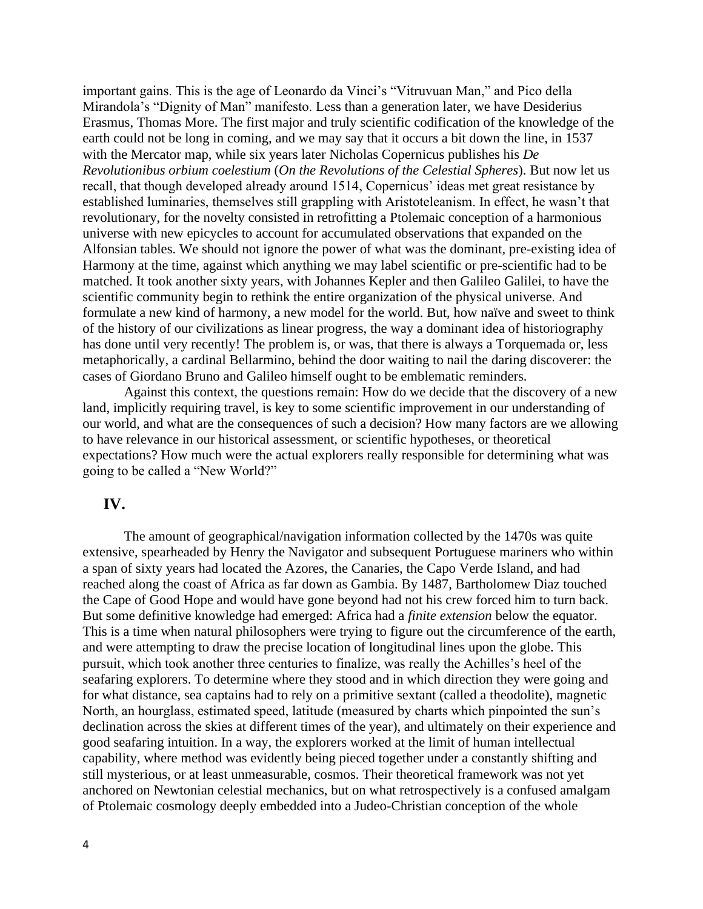important gains. This is the age of Leonardo da Vinci's "Vitruvuan Man," and Pico della Mirandola's "Dignity of Man" manifesto. Less than a generation later, we have Desiderius Erasmus, Thomas More. The first major and truly scientific codification of the knowledge of the earth could not be long in coming, and we may say that it occurs a bit down the line, in 1537 with the Mercator map, while six years later Nicholas Copernicus publishes his *De Revolutionibus orbium coelestium* (*On the Revolutions of the Celestial Spheres*). But now let us recall, that though developed already around 1514, Copernicus' ideas met great resistance by established luminaries, themselves still grappling with Aristoteleanism. In effect, he wasn't that revolutionary, for the novelty consisted in retrofitting a Ptolemaic conception of a harmonious universe with new epicycles to account for accumulated observations that expanded on the Alfonsian tables. We should not ignore the power of what was the dominant, pre-existing idea of Harmony at the time, against which anything we may label scientific or pre-scientific had to be matched. It took another sixty years, with Johannes Kepler and then Galileo Galilei, to have the scientific community begin to rethink the entire organization of the physical universe. And formulate a new kind of harmony, a new model for the world. But, how naïve and sweet to think of the history of our civilizations as linear progress, the way a dominant idea of historiography has done until very recently! The problem is, or was, that there is always a Torquemada or, less metaphorically, a cardinal Bellarmino, behind the door waiting to nail the daring discoverer: the cases of Giordano Bruno and Galileo himself ought to be emblematic reminders.

Against this context, the questions remain: How do we decide that the discovery of a new land, implicitly requiring travel, is key to some scientific improvement in our understanding of our world, and what are the consequences of such a decision? How many factors are we allowing to have relevance in our historical assessment, or scientific hypotheses, or theoretical expectations? How much were the actual explorers really responsible for determining what was going to be called a "New World?"

### **IV.**

The amount of geographical/navigation information collected by the 1470s was quite extensive, spearheaded by Henry the Navigator and subsequent Portuguese mariners who within a span of sixty years had located the Azores, the Canaries, the Capo Verde Island, and had reached along the coast of Africa as far down as Gambia. By 1487, Bartholomew Diaz touched the Cape of Good Hope and would have gone beyond had not his crew forced him to turn back. But some definitive knowledge had emerged: Africa had a *finite extension* below the equator. This is a time when natural philosophers were trying to figure out the circumference of the earth, and were attempting to draw the precise location of longitudinal lines upon the globe. This pursuit, which took another three centuries to finalize, was really the Achilles's heel of the seafaring explorers. To determine where they stood and in which direction they were going and for what distance, sea captains had to rely on a primitive sextant (called a theodolite), magnetic North, an hourglass, estimated speed, latitude (measured by charts which pinpointed the sun's declination across the skies at different times of the year), and ultimately on their experience and good seafaring intuition. In a way, the explorers worked at the limit of human intellectual capability, where method was evidently being pieced together under a constantly shifting and still mysterious, or at least unmeasurable, cosmos. Their theoretical framework was not yet anchored on Newtonian celestial mechanics, but on what retrospectively is a confused amalgam of Ptolemaic cosmology deeply embedded into a Judeo-Christian conception of the whole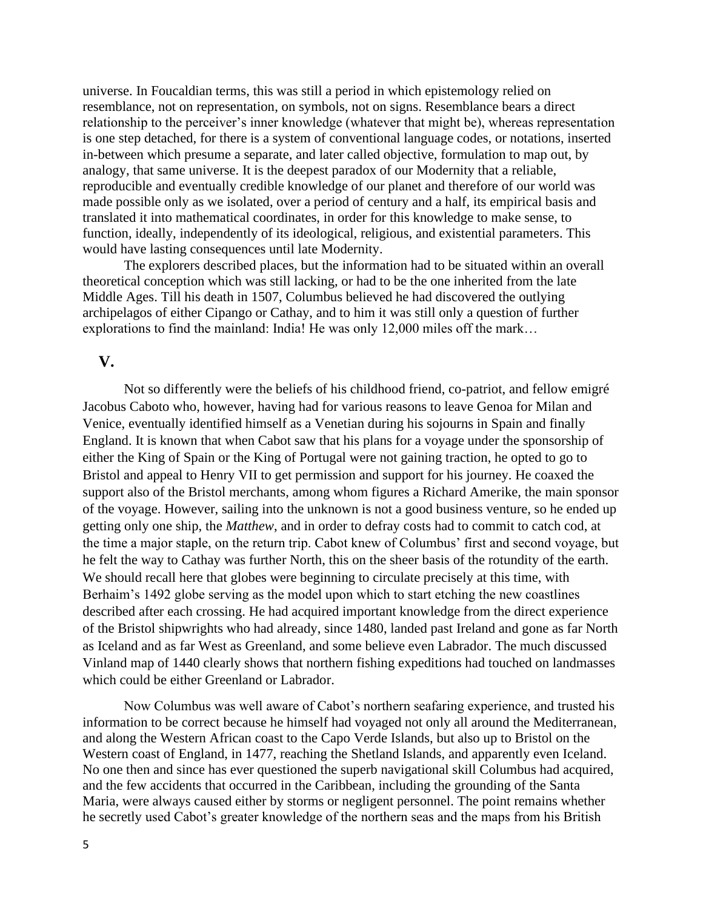universe. In Foucaldian terms, this was still a period in which epistemology relied on resemblance, not on representation, on symbols, not on signs. Resemblance bears a direct relationship to the perceiver's inner knowledge (whatever that might be), whereas representation is one step detached, for there is a system of conventional language codes, or notations, inserted in-between which presume a separate, and later called objective, formulation to map out, by analogy, that same universe. It is the deepest paradox of our Modernity that a reliable, reproducible and eventually credible knowledge of our planet and therefore of our world was made possible only as we isolated, over a period of century and a half, its empirical basis and translated it into mathematical coordinates, in order for this knowledge to make sense, to function, ideally, independently of its ideological, religious, and existential parameters. This would have lasting consequences until late Modernity.

The explorers described places, but the information had to be situated within an overall theoretical conception which was still lacking, or had to be the one inherited from the late Middle Ages. Till his death in 1507, Columbus believed he had discovered the outlying archipelagos of either Cipango or Cathay, and to him it was still only a question of further explorations to find the mainland: India! He was only 12,000 miles off the mark…

#### **V.**

Not so differently were the beliefs of his childhood friend, co-patriot, and fellow emigré Jacobus Caboto who, however, having had for various reasons to leave Genoa for Milan and Venice, eventually identified himself as a Venetian during his sojourns in Spain and finally England. It is known that when Cabot saw that his plans for a voyage under the sponsorship of either the King of Spain or the King of Portugal were not gaining traction, he opted to go to Bristol and appeal to Henry VII to get permission and support for his journey. He coaxed the support also of the Bristol merchants, among whom figures a Richard Amerike, the main sponsor of the voyage. However, sailing into the unknown is not a good business venture, so he ended up getting only one ship, the *Matthew*, and in order to defray costs had to commit to catch cod, at the time a major staple, on the return trip. Cabot knew of Columbus' first and second voyage, but he felt the way to Cathay was further North, this on the sheer basis of the rotundity of the earth. We should recall here that globes were beginning to circulate precisely at this time, with Berhaim's 1492 globe serving as the model upon which to start etching the new coastlines described after each crossing. He had acquired important knowledge from the direct experience of the Bristol shipwrights who had already, since 1480, landed past Ireland and gone as far North as Iceland and as far West as Greenland, and some believe even Labrador. The much discussed Vinland map of 1440 clearly shows that northern fishing expeditions had touched on landmasses which could be either Greenland or Labrador.

Now Columbus was well aware of Cabot's northern seafaring experience, and trusted his information to be correct because he himself had voyaged not only all around the Mediterranean, and along the Western African coast to the Capo Verde Islands, but also up to Bristol on the Western coast of England, in 1477, reaching the Shetland Islands, and apparently even Iceland. No one then and since has ever questioned the superb navigational skill Columbus had acquired, and the few accidents that occurred in the Caribbean, including the grounding of the Santa Maria, were always caused either by storms or negligent personnel. The point remains whether he secretly used Cabot's greater knowledge of the northern seas and the maps from his British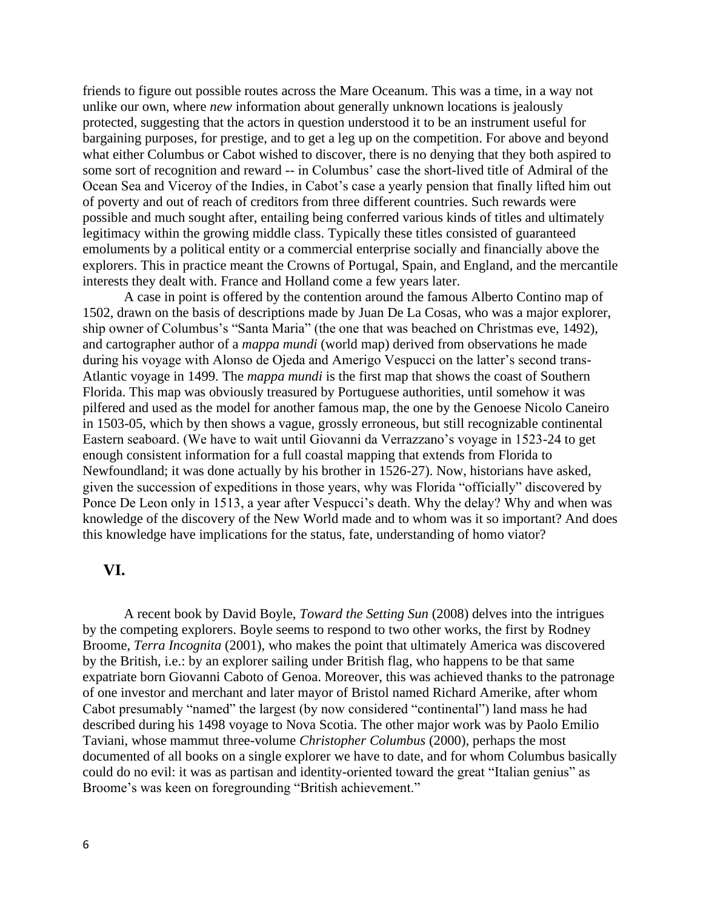friends to figure out possible routes across the Mare Oceanum. This was a time, in a way not unlike our own, where *new* information about generally unknown locations is jealously protected, suggesting that the actors in question understood it to be an instrument useful for bargaining purposes, for prestige, and to get a leg up on the competition. For above and beyond what either Columbus or Cabot wished to discover, there is no denying that they both aspired to some sort of recognition and reward -- in Columbus' case the short-lived title of Admiral of the Ocean Sea and Viceroy of the Indies, in Cabot's case a yearly pension that finally lifted him out of poverty and out of reach of creditors from three different countries. Such rewards were possible and much sought after, entailing being conferred various kinds of titles and ultimately legitimacy within the growing middle class. Typically these titles consisted of guaranteed emoluments by a political entity or a commercial enterprise socially and financially above the explorers. This in practice meant the Crowns of Portugal, Spain, and England, and the mercantile interests they dealt with. France and Holland come a few years later.

A case in point is offered by the contention around the famous Alberto Contino map of 1502, drawn on the basis of descriptions made by Juan De La Cosas, who was a major explorer, ship owner of Columbus's "Santa Maria" (the one that was beached on Christmas eve, 1492), and cartographer author of a *mappa mundi* (world map) derived from observations he made during his voyage with Alonso de Ojeda and Amerigo Vespucci on the latter's second trans-Atlantic voyage in 1499. The *mappa mundi* is the first map that shows the coast of Southern Florida. This map was obviously treasured by Portuguese authorities, until somehow it was pilfered and used as the model for another famous map, the one by the Genoese Nicolo Caneiro in 1503-05, which by then shows a vague, grossly erroneous, but still recognizable continental Eastern seaboard. (We have to wait until Giovanni da Verrazzano's voyage in 1523-24 to get enough consistent information for a full coastal mapping that extends from Florida to Newfoundland; it was done actually by his brother in 1526-27). Now, historians have asked, given the succession of expeditions in those years, why was Florida "officially" discovered by Ponce De Leon only in 1513, a year after Vespucci's death. Why the delay? Why and when was knowledge of the discovery of the New World made and to whom was it so important? And does this knowledge have implications for the status, fate, understanding of homo viator?

### **VI.**

A recent book by David Boyle, *Toward the Setting Sun* (2008) delves into the intrigues by the competing explorers. Boyle seems to respond to two other works, the first by Rodney Broome, *Terra Incognita* (2001), who makes the point that ultimately America was discovered by the British, i.e.: by an explorer sailing under British flag, who happens to be that same expatriate born Giovanni Caboto of Genoa. Moreover, this was achieved thanks to the patronage of one investor and merchant and later mayor of Bristol named Richard Amerike, after whom Cabot presumably "named" the largest (by now considered "continental") land mass he had described during his 1498 voyage to Nova Scotia. The other major work was by Paolo Emilio Taviani, whose mammut three-volume *Christopher Columbus* (2000), perhaps the most documented of all books on a single explorer we have to date, and for whom Columbus basically could do no evil: it was as partisan and identity-oriented toward the great "Italian genius" as Broome's was keen on foregrounding "British achievement."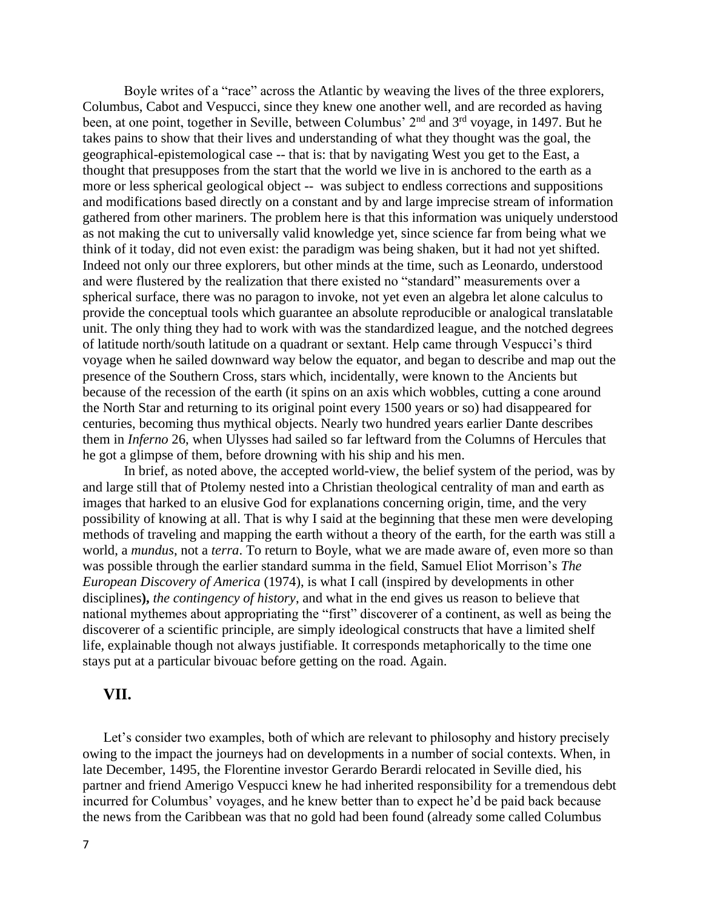Boyle writes of a "race" across the Atlantic by weaving the lives of the three explorers, Columbus, Cabot and Vespucci, since they knew one another well, and are recorded as having been, at one point, together in Seville, between Columbus' 2<sup>nd</sup> and 3<sup>rd</sup> voyage, in 1497. But he takes pains to show that their lives and understanding of what they thought was the goal, the geographical-epistemological case -- that is: that by navigating West you get to the East, a thought that presupposes from the start that the world we live in is anchored to the earth as a more or less spherical geological object -- was subject to endless corrections and suppositions and modifications based directly on a constant and by and large imprecise stream of information gathered from other mariners. The problem here is that this information was uniquely understood as not making the cut to universally valid knowledge yet, since science far from being what we think of it today, did not even exist: the paradigm was being shaken, but it had not yet shifted. Indeed not only our three explorers, but other minds at the time, such as Leonardo, understood and were flustered by the realization that there existed no "standard" measurements over a spherical surface, there was no paragon to invoke, not yet even an algebra let alone calculus to provide the conceptual tools which guarantee an absolute reproducible or analogical translatable unit. The only thing they had to work with was the standardized league, and the notched degrees of latitude north/south latitude on a quadrant or sextant. Help came through Vespucci's third voyage when he sailed downward way below the equator, and began to describe and map out the presence of the Southern Cross, stars which, incidentally, were known to the Ancients but because of the recession of the earth (it spins on an axis which wobbles, cutting a cone around the North Star and returning to its original point every 1500 years or so) had disappeared for centuries, becoming thus mythical objects. Nearly two hundred years earlier Dante describes them in *Inferno* 26, when Ulysses had sailed so far leftward from the Columns of Hercules that he got a glimpse of them, before drowning with his ship and his men.

In brief, as noted above, the accepted world-view, the belief system of the period, was by and large still that of Ptolemy nested into a Christian theological centrality of man and earth as images that harked to an elusive God for explanations concerning origin, time, and the very possibility of knowing at all. That is why I said at the beginning that these men were developing methods of traveling and mapping the earth without a theory of the earth, for the earth was still a world, a *mundus*, not a *terra*. To return to Boyle, what we are made aware of, even more so than was possible through the earlier standard summa in the field, Samuel Eliot Morrison's *The European Discovery of America* (1974), is what I call (inspired by developments in other disciplines**),** *the contingency of history*, and what in the end gives us reason to believe that national mythemes about appropriating the "first" discoverer of a continent, as well as being the discoverer of a scientific principle, are simply ideological constructs that have a limited shelf life, explainable though not always justifiable. It corresponds metaphorically to the time one stays put at a particular bivouac before getting on the road. Again.

### **VII.**

Let's consider two examples, both of which are relevant to philosophy and history precisely owing to the impact the journeys had on developments in a number of social contexts. When, in late December, 1495, the Florentine investor Gerardo Berardi relocated in Seville died, his partner and friend Amerigo Vespucci knew he had inherited responsibility for a tremendous debt incurred for Columbus' voyages, and he knew better than to expect he'd be paid back because the news from the Caribbean was that no gold had been found (already some called Columbus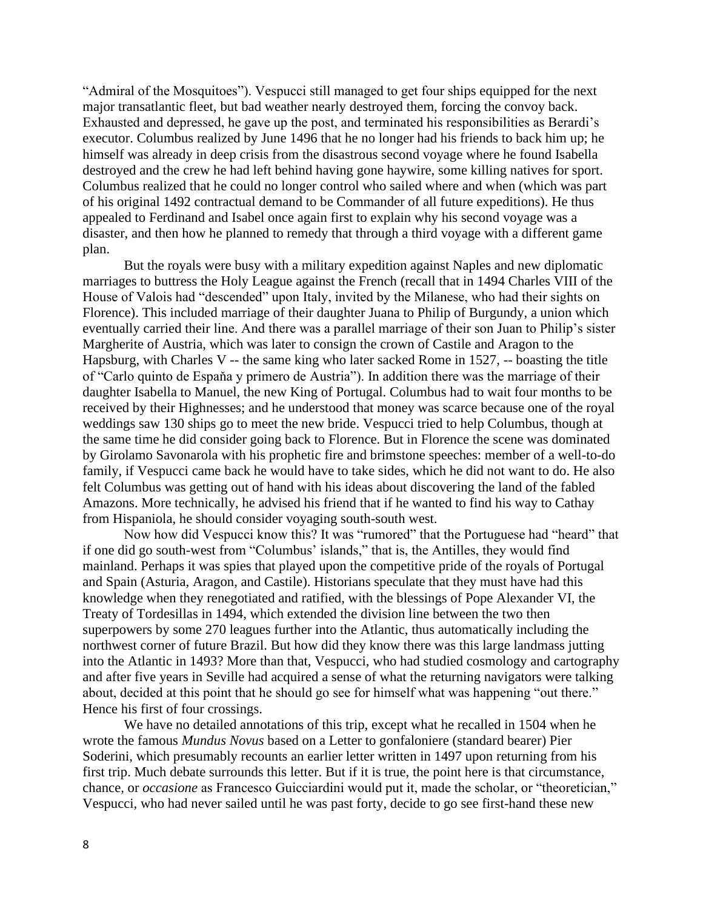"Admiral of the Mosquitoes"). Vespucci still managed to get four ships equipped for the next major transatlantic fleet, but bad weather nearly destroyed them, forcing the convoy back. Exhausted and depressed, he gave up the post, and terminated his responsibilities as Berardi's executor. Columbus realized by June 1496 that he no longer had his friends to back him up; he himself was already in deep crisis from the disastrous second voyage where he found Isabella destroyed and the crew he had left behind having gone haywire, some killing natives for sport. Columbus realized that he could no longer control who sailed where and when (which was part of his original 1492 contractual demand to be Commander of all future expeditions). He thus appealed to Ferdinand and Isabel once again first to explain why his second voyage was a disaster, and then how he planned to remedy that through a third voyage with a different game plan.

But the royals were busy with a military expedition against Naples and new diplomatic marriages to buttress the Holy League against the French (recall that in 1494 Charles VIII of the House of Valois had "descended" upon Italy, invited by the Milanese, who had their sights on Florence). This included marriage of their daughter Juana to Philip of Burgundy, a union which eventually carried their line. And there was a parallel marriage of their son Juan to Philip's sister Margherite of Austria, which was later to consign the crown of Castile and Aragon to the Hapsburg, with Charles V -- the same king who later sacked Rome in 1527, -- boasting the title of "Carlo quinto de Espaňa y primero de Austria"). In addition there was the marriage of their daughter Isabella to Manuel, the new King of Portugal. Columbus had to wait four months to be received by their Highnesses; and he understood that money was scarce because one of the royal weddings saw 130 ships go to meet the new bride. Vespucci tried to help Columbus, though at the same time he did consider going back to Florence. But in Florence the scene was dominated by Girolamo Savonarola with his prophetic fire and brimstone speeches: member of a well-to-do family, if Vespucci came back he would have to take sides, which he did not want to do. He also felt Columbus was getting out of hand with his ideas about discovering the land of the fabled Amazons. More technically, he advised his friend that if he wanted to find his way to Cathay from Hispaniola, he should consider voyaging south-south west.

Now how did Vespucci know this? It was "rumored" that the Portuguese had "heard" that if one did go south-west from "Columbus' islands," that is, the Antilles, they would find mainland. Perhaps it was spies that played upon the competitive pride of the royals of Portugal and Spain (Asturia, Aragon, and Castile). Historians speculate that they must have had this knowledge when they renegotiated and ratified, with the blessings of Pope Alexander VI, the Treaty of Tordesillas in 1494, which extended the division line between the two then superpowers by some 270 leagues further into the Atlantic, thus automatically including the northwest corner of future Brazil. But how did they know there was this large landmass jutting into the Atlantic in 1493? More than that, Vespucci, who had studied cosmology and cartography and after five years in Seville had acquired a sense of what the returning navigators were talking about, decided at this point that he should go see for himself what was happening "out there." Hence his first of four crossings.

We have no detailed annotations of this trip, except what he recalled in 1504 when he wrote the famous *Mundus Novus* based on a Letter to gonfaloniere (standard bearer) Pier Soderini, which presumably recounts an earlier letter written in 1497 upon returning from his first trip. Much debate surrounds this letter. But if it is true, the point here is that circumstance, chance, or *occasione* as Francesco Guicciardini would put it, made the scholar, or "theoretician," Vespucci, who had never sailed until he was past forty, decide to go see first-hand these new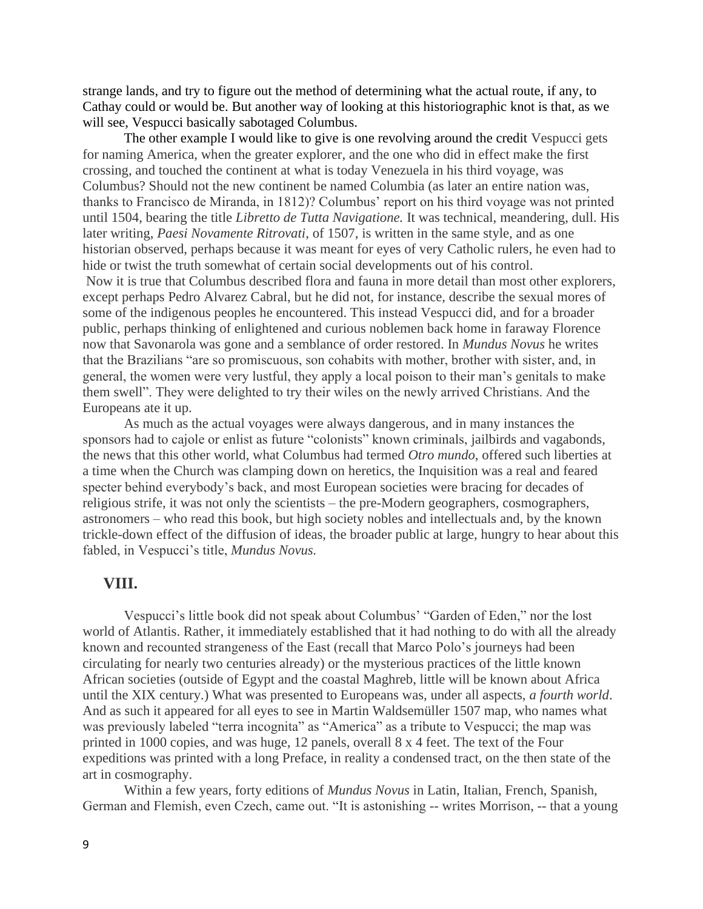strange lands, and try to figure out the method of determining what the actual route, if any, to Cathay could or would be. But another way of looking at this historiographic knot is that, as we will see, Vespucci basically sabotaged Columbus.

The other example I would like to give is one revolving around the credit Vespucci gets for naming America, when the greater explorer, and the one who did in effect make the first crossing, and touched the continent at what is today Venezuela in his third voyage, was Columbus? Should not the new continent be named Columbia (as later an entire nation was, thanks to Francisco de Miranda, in 1812)? Columbus' report on his third voyage was not printed until 1504, bearing the title *Libretto de Tutta Navigatione.* It was technical, meandering, dull. His later writing, *Paesi Novamente Ritrovati*, of 1507, is written in the same style, and as one historian observed, perhaps because it was meant for eyes of very Catholic rulers, he even had to hide or twist the truth somewhat of certain social developments out of his control. Now it is true that Columbus described flora and fauna in more detail than most other explorers, except perhaps Pedro Alvarez Cabral, but he did not, for instance, describe the sexual mores of some of the indigenous peoples he encountered. This instead Vespucci did, and for a broader public, perhaps thinking of enlightened and curious noblemen back home in faraway Florence now that Savonarola was gone and a semblance of order restored. In *Mundus Novus* he writes that the Brazilians "are so promiscuous, son cohabits with mother, brother with sister, and, in general, the women were very lustful, they apply a local poison to their man's genitals to make them swell". They were delighted to try their wiles on the newly arrived Christians. And the Europeans ate it up.

As much as the actual voyages were always dangerous, and in many instances the sponsors had to cajole or enlist as future "colonists" known criminals, jailbirds and vagabonds, the news that this other world, what Columbus had termed *Otro mundo*, offered such liberties at a time when the Church was clamping down on heretics, the Inquisition was a real and feared specter behind everybody's back, and most European societies were bracing for decades of religious strife, it was not only the scientists – the pre-Modern geographers, cosmographers, astronomers – who read this book, but high society nobles and intellectuals and, by the known trickle-down effect of the diffusion of ideas, the broader public at large, hungry to hear about this fabled, in Vespucci's title, *Mundus Novus.*

### **VIII.**

Vespucci's little book did not speak about Columbus' "Garden of Eden," nor the lost world of Atlantis. Rather, it immediately established that it had nothing to do with all the already known and recounted strangeness of the East (recall that Marco Polo's journeys had been circulating for nearly two centuries already) or the mysterious practices of the little known African societies (outside of Egypt and the coastal Maghreb, little will be known about Africa until the XIX century.) What was presented to Europeans was, under all aspects, *a fourth world*. And as such it appeared for all eyes to see in Martin Waldsemüller 1507 map, who names what was previously labeled "terra incognita" as "America" as a tribute to Vespucci; the map was printed in 1000 copies, and was huge, 12 panels, overall 8 x 4 feet. The text of the Four expeditions was printed with a long Preface, in reality a condensed tract, on the then state of the art in cosmography.

Within a few years, forty editions of *Mundus Novus* in Latin, Italian, French, Spanish, German and Flemish, even Czech, came out. "It is astonishing -- writes Morrison, -- that a young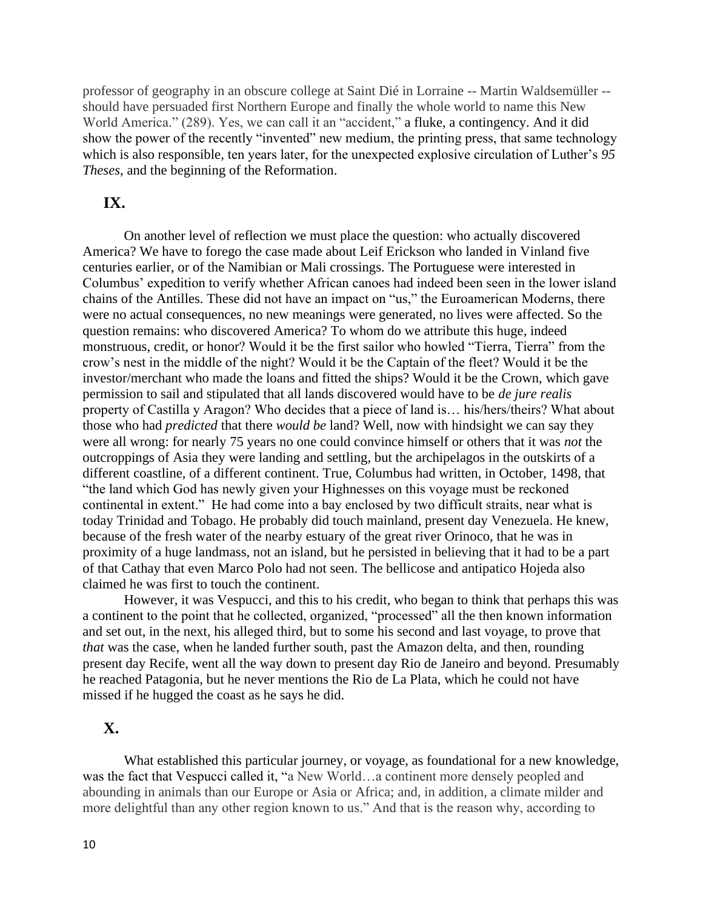professor of geography in an obscure college at Saint Dié in Lorraine -- Martin Waldsemüller - should have persuaded first Northern Europe and finally the whole world to name this New World America." (289). Yes, we can call it an "accident," a fluke, a contingency. And it did show the power of the recently "invented" new medium, the printing press, that same technology which is also responsible, ten years later, for the unexpected explosive circulation of Luther's *95 Theses*, and the beginning of the Reformation.

### **IX.**

On another level of reflection we must place the question: who actually discovered America? We have to forego the case made about Leif Erickson who landed in Vinland five centuries earlier, or of the Namibian or Mali crossings. The Portuguese were interested in Columbus' expedition to verify whether African canoes had indeed been seen in the lower island chains of the Antilles. These did not have an impact on "us," the Euroamerican Moderns, there were no actual consequences, no new meanings were generated, no lives were affected. So the question remains: who discovered America? To whom do we attribute this huge, indeed monstruous, credit, or honor? Would it be the first sailor who howled "Tierra, Tierra" from the crow's nest in the middle of the night? Would it be the Captain of the fleet? Would it be the investor/merchant who made the loans and fitted the ships? Would it be the Crown, which gave permission to sail and stipulated that all lands discovered would have to be *de jure realis* property of Castilla y Aragon? Who decides that a piece of land is… his/hers/theirs? What about those who had *predicted* that there *would be* land? Well, now with hindsight we can say they were all wrong: for nearly 75 years no one could convince himself or others that it was *not* the outcroppings of Asia they were landing and settling, but the archipelagos in the outskirts of a different coastline, of a different continent. True, Columbus had written, in October, 1498, that "the land which God has newly given your Highnesses on this voyage must be reckoned continental in extent." He had come into a bay enclosed by two difficult straits, near what is today Trinidad and Tobago. He probably did touch mainland, present day Venezuela. He knew, because of the fresh water of the nearby estuary of the great river Orinoco, that he was in proximity of a huge landmass, not an island, but he persisted in believing that it had to be a part of that Cathay that even Marco Polo had not seen. The bellicose and antipatico Hojeda also claimed he was first to touch the continent.

However, it was Vespucci, and this to his credit, who began to think that perhaps this was a continent to the point that he collected, organized, "processed" all the then known information and set out, in the next, his alleged third, but to some his second and last voyage, to prove that *that* was the case, when he landed further south, past the Amazon delta, and then, rounding present day Recife, went all the way down to present day Rio de Janeiro and beyond. Presumably he reached Patagonia, but he never mentions the Rio de La Plata, which he could not have missed if he hugged the coast as he says he did.

# **X.**

What established this particular journey, or voyage, as foundational for a new knowledge, was the fact that Vespucci called it, "a New World…a continent more densely peopled and abounding in animals than our Europe or Asia or Africa; and, in addition, a climate milder and more delightful than any other region known to us." And that is the reason why, according to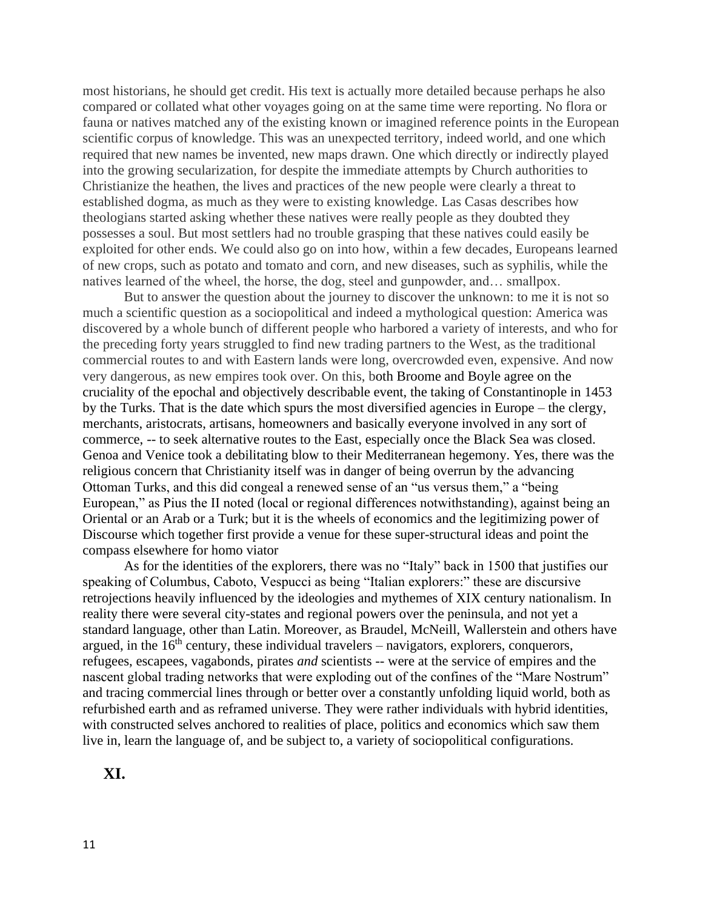most historians, he should get credit. His text is actually more detailed because perhaps he also compared or collated what other voyages going on at the same time were reporting. No flora or fauna or natives matched any of the existing known or imagined reference points in the European scientific corpus of knowledge. This was an unexpected territory, indeed world, and one which required that new names be invented, new maps drawn. One which directly or indirectly played into the growing secularization, for despite the immediate attempts by Church authorities to Christianize the heathen, the lives and practices of the new people were clearly a threat to established dogma, as much as they were to existing knowledge. Las Casas describes how theologians started asking whether these natives were really people as they doubted they possesses a soul. But most settlers had no trouble grasping that these natives could easily be exploited for other ends. We could also go on into how, within a few decades, Europeans learned of new crops, such as potato and tomato and corn, and new diseases, such as syphilis, while the natives learned of the wheel, the horse, the dog, steel and gunpowder, and… smallpox.

But to answer the question about the journey to discover the unknown: to me it is not so much a scientific question as a sociopolitical and indeed a mythological question: America was discovered by a whole bunch of different people who harbored a variety of interests, and who for the preceding forty years struggled to find new trading partners to the West, as the traditional commercial routes to and with Eastern lands were long, overcrowded even, expensive. And now very dangerous, as new empires took over. On this, both Broome and Boyle agree on the cruciality of the epochal and objectively describable event, the taking of Constantinople in 1453 by the Turks. That is the date which spurs the most diversified agencies in Europe – the clergy, merchants, aristocrats, artisans, homeowners and basically everyone involved in any sort of commerce, -- to seek alternative routes to the East, especially once the Black Sea was closed. Genoa and Venice took a debilitating blow to their Mediterranean hegemony. Yes, there was the religious concern that Christianity itself was in danger of being overrun by the advancing Ottoman Turks, and this did congeal a renewed sense of an "us versus them," a "being European," as Pius the II noted (local or regional differences notwithstanding), against being an Oriental or an Arab or a Turk; but it is the wheels of economics and the legitimizing power of Discourse which together first provide a venue for these super-structural ideas and point the compass elsewhere for homo viator

As for the identities of the explorers, there was no "Italy" back in 1500 that justifies our speaking of Columbus, Caboto, Vespucci as being "Italian explorers:" these are discursive retrojections heavily influenced by the ideologies and mythemes of XIX century nationalism. In reality there were several city-states and regional powers over the peninsula, and not yet a standard language, other than Latin. Moreover, as Braudel, McNeill, Wallerstein and others have argued, in the  $16<sup>th</sup>$  century, these individual travelers – navigators, explorers, conquerors, refugees, escapees, vagabonds, pirates *and* scientists -- were at the service of empires and the nascent global trading networks that were exploding out of the confines of the "Mare Nostrum" and tracing commercial lines through or better over a constantly unfolding liquid world, both as refurbished earth and as reframed universe. They were rather individuals with hybrid identities, with constructed selves anchored to realities of place, politics and economics which saw them live in, learn the language of, and be subject to, a variety of sociopolitical configurations.

**XI.**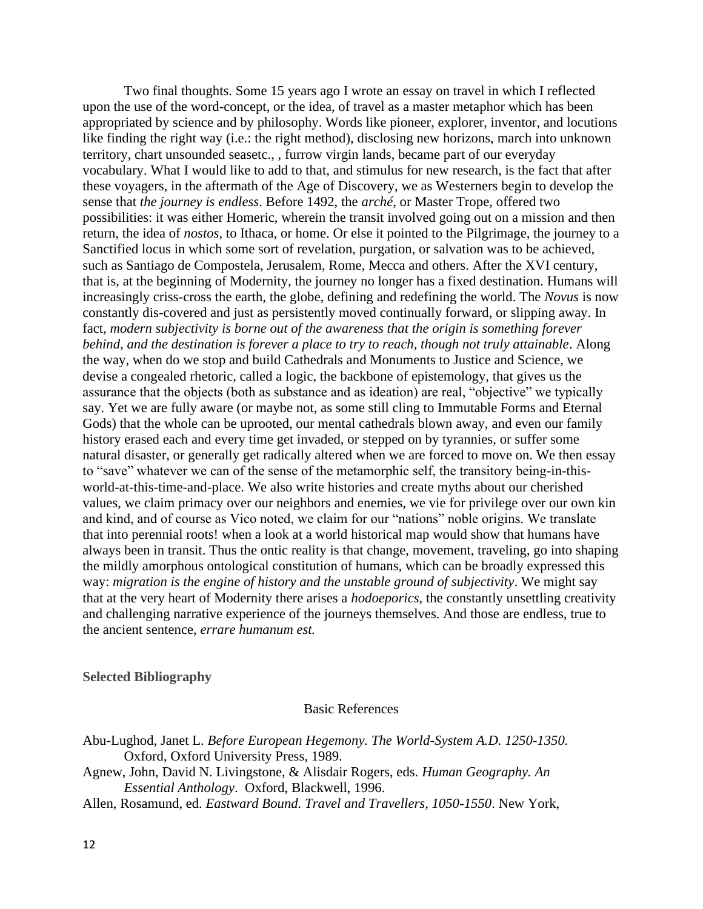Two final thoughts. Some 15 years ago I wrote an essay on travel in which I reflected upon the use of the word-concept, or the idea, of travel as a master metaphor which has been appropriated by science and by philosophy. Words like pioneer, explorer, inventor, and locutions like finding the right way (i.e.: the right method), disclosing new horizons, march into unknown territory, chart unsounded seasetc., , furrow virgin lands, became part of our everyday vocabulary. What I would like to add to that, and stimulus for new research, is the fact that after these voyagers, in the aftermath of the Age of Discovery, we as Westerners begin to develop the sense that *the journey is endless*. Before 1492, the *arché*, or Master Trope, offered two possibilities: it was either Homeric, wherein the transit involved going out on a mission and then return, the idea of *nostos*, to Ithaca, or home. Or else it pointed to the Pilgrimage, the journey to a Sanctified locus in which some sort of revelation, purgation, or salvation was to be achieved, such as Santiago de Compostela, Jerusalem, Rome, Mecca and others. After the XVI century, that is, at the beginning of Modernity, the journey no longer has a fixed destination. Humans will increasingly criss-cross the earth, the globe, defining and redefining the world. The *Novus* is now constantly dis-covered and just as persistently moved continually forward, or slipping away. In fact, *modern subjectivity is borne out of the awareness that the origin is something forever behind, and the destination is forever a place to try to reach, though not truly attainable*. Along the way, when do we stop and build Cathedrals and Monuments to Justice and Science, we devise a congealed rhetoric, called a logic, the backbone of epistemology, that gives us the assurance that the objects (both as substance and as ideation) are real, "objective" we typically say. Yet we are fully aware (or maybe not, as some still cling to Immutable Forms and Eternal Gods) that the whole can be uprooted, our mental cathedrals blown away, and even our family history erased each and every time get invaded, or stepped on by tyrannies, or suffer some natural disaster, or generally get radically altered when we are forced to move on. We then essay to "save" whatever we can of the sense of the metamorphic self, the transitory being-in-thisworld-at-this-time-and-place. We also write histories and create myths about our cherished values, we claim primacy over our neighbors and enemies, we vie for privilege over our own kin and kind, and of course as Vico noted, we claim for our "nations" noble origins. We translate that into perennial roots! when a look at a world historical map would show that humans have always been in transit. Thus the ontic reality is that change, movement, traveling, go into shaping the mildly amorphous ontological constitution of humans, which can be broadly expressed this way: *migration is the engine of history and the unstable ground of subjectivity*. We might say that at the very heart of Modernity there arises a *hodoeporics*, the constantly unsettling creativity and challenging narrative experience of the journeys themselves. And those are endless, true to the ancient sentence, *errare humanum est.*

**Selected Bibliography**

Basic References

Abu-Lughod, Janet L. *Before European Hegemony. The World-System A.D. 1250-1350.* Oxford, Oxford University Press, 1989.

Agnew, John, David N. Livingstone, & Alisdair Rogers, eds. *Human Geography. An Essential Anthology*. Oxford, Blackwell, 1996.

Allen, Rosamund, ed. *Eastward Bound. Travel and Travellers, 1050-1550*. New York,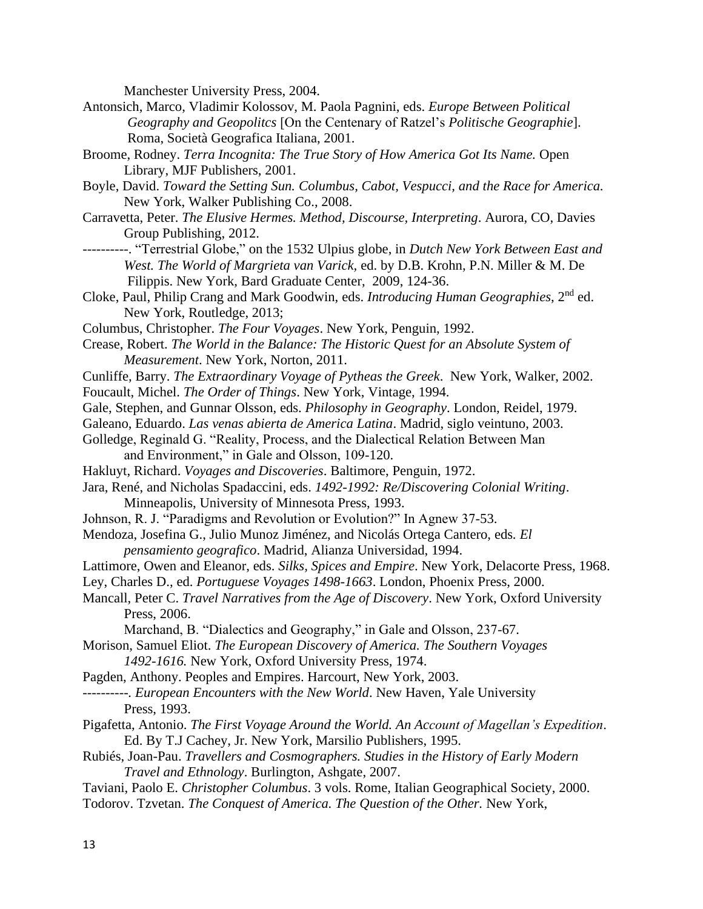Manchester University Press, 2004.

- Antonsich, Marco, Vladimir Kolossov, M. Paola Pagnini, eds. *Europe Between Political Geography and Geopolitcs* [On the Centenary of Ratzel's *Politische Geographie*]. Roma, Società Geografica Italiana, 2001.
- Broome, Rodney. *Terra Incognita: The True Story of How America Got Its Name.* Open Library, MJF Publishers, 2001.
- Boyle, David. *Toward the Setting Sun. Columbus, Cabot, Vespucci, and the Race for America.* New York, Walker Publishing Co., 2008.
- Carravetta, Peter. *The Elusive Hermes. Method, Discourse, Interpreting*. Aurora, CO, Davies Group Publishing, 2012.
- ----------. "Terrestrial Globe," on the 1532 Ulpius globe, in *Dutch New York Between East and West. The World of Margrieta van Varick,* ed. by D.B. Krohn, P.N. Miller & M. De Filippis. New York, Bard Graduate Center, 2009, 124-36.
- Cloke, Paul, Philip Crang and Mark Goodwin, eds. *Introducing Human Geographies*, 2nd ed. New York, Routledge, 2013;
- Columbus, Christopher. *The Four Voyages*. New York, Penguin, 1992.
- Crease, Robert. *The World in the Balance: The Historic Quest for an Absolute System of Measurement*. New York, Norton, 2011.
- Cunliffe, Barry. *The Extraordinary Voyage of Pytheas the Greek*. New York, Walker, 2002. Foucault, Michel. *The Order of Things*. New York, Vintage, 1994.
- Gale, Stephen, and Gunnar Olsson, eds. *Philosophy in Geography*. London, Reidel, 1979.
- Galeano, Eduardo. *Las venas abierta de America Latina*. Madrid, siglo veintuno, 2003.
- Golledge, Reginald G. "Reality, Process, and the Dialectical Relation Between Man and Environment," in Gale and Olsson, 109-120.
- Hakluyt, Richard. *Voyages and Discoveries*. Baltimore, Penguin, 1972.
- Jara, René, and Nicholas Spadaccini, eds. *1492-1992: Re/Discovering Colonial Writing*. Minneapolis, University of Minnesota Press, 1993.
- Johnson, R. J. "Paradigms and Revolution or Evolution?" In Agnew 37-53.
- Mendoza, Josefina G., Julio Munoz Jiménez, and Nicolás Ortega Cantero, eds*. El pensamiento geografico*. Madrid, Alianza Universidad, 1994.
- Lattimore, Owen and Eleanor, eds. *Silks, Spices and Empire*. New York, Delacorte Press, 1968.
- Ley, Charles D., ed. *Portuguese Voyages 1498-1663*. London, Phoenix Press, 2000.
- Mancall, Peter C. *Travel Narratives from the Age of Discovery*. New York, Oxford University Press, 2006.
	- Marchand, B. "Dialectics and Geography," in Gale and Olsson, 237-67.
- Morison, Samuel Eliot. *The European Discovery of America. The Southern Voyages 1492-1616.* New York, Oxford University Press, 1974.
- Pagden, Anthony. Peoples and Empires. Harcourt, New York, 2003.
- *----------. European Encounters with the New World*. New Haven, Yale University Press, 1993.
- Pigafetta, Antonio. *The First Voyage Around the World. An Account of Magellan's Expedition*. Ed. By T.J Cachey, Jr. New York, Marsilio Publishers, 1995.
- Rubiés, Joan-Pau. *Travellers and Cosmographers. Studies in the History of Early Modern Travel and Ethnology*. Burlington, Ashgate, 2007.
- Taviani, Paolo E. *Christopher Columbus*. 3 vols. Rome, Italian Geographical Society, 2000.
- Todorov. Tzvetan. *The Conquest of America. The Question of the Other.* New York,